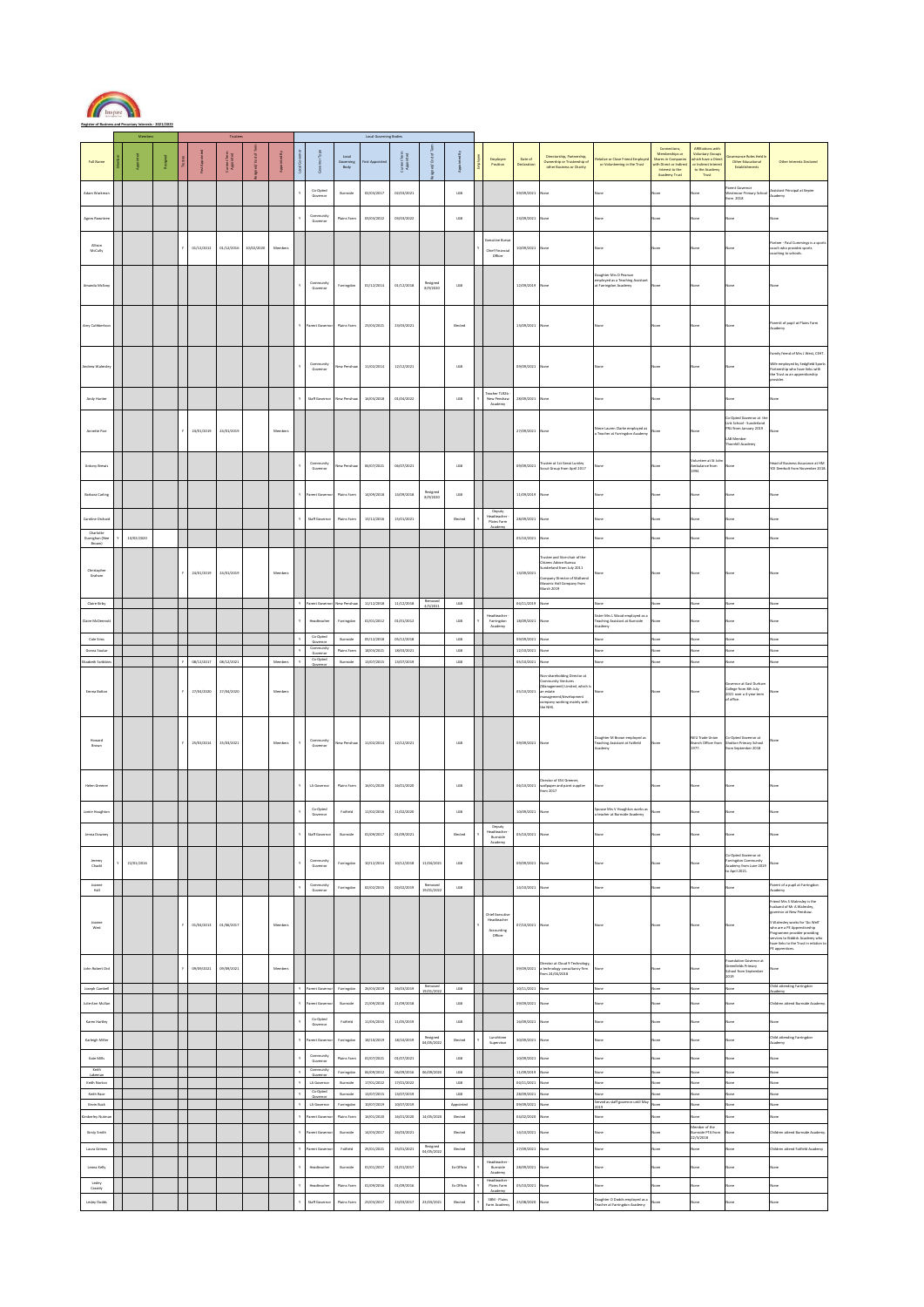

**Register of Business and Pecuniary Interests - 2021/2022**

|                                      |            |  |            |                                      |            |         |    |                                    |                            | Local Go                 | ting Bo                  |                        |                          |                                                                |                          |                                                                                                                                                                   |                                                                                                            |                                                                                                                   |                                                                                                                   |                                                                                                                 |                                                                                                                                                                                                                                                                                                                       |
|--------------------------------------|------------|--|------------|--------------------------------------|------------|---------|----|------------------------------------|----------------------------|--------------------------|--------------------------|------------------------|--------------------------|----------------------------------------------------------------|--------------------------|-------------------------------------------------------------------------------------------------------------------------------------------------------------------|------------------------------------------------------------------------------------------------------------|-------------------------------------------------------------------------------------------------------------------|-------------------------------------------------------------------------------------------------------------------|-----------------------------------------------------------------------------------------------------------------|-----------------------------------------------------------------------------------------------------------------------------------------------------------------------------------------------------------------------------------------------------------------------------------------------------------------------|
| <b>Full Name</b>                     |            |  |            | Terr<br>1885<br>Current <sub>C</sub> |            |         |    |                                    | Local<br>Governing<br>Body | st App                   | 上图<br>Gurmt<br>Aggel     |                        |                          | Employee<br>Position                                           | Date of<br>Neclaratio    | Directorship, Partnership<br>Ownership or Trusteeship of<br>other Business or Charity                                                                             | lative or Close Friend Employ<br>or Volunteering in the Trust                                              | Connections,<br>Memberships or<br>Shares in Companie<br>with Direct or Indian<br>Interest to the<br>Academy Trust | Affiliations with<br><b>Voluntary Group:</b><br>hich have a Dire<br>e Indirect Interes<br>to the Academy<br>Trust | sance Roles Held<br>Other Educational<br>Establishments                                                         | Other Interests Declared                                                                                                                                                                                                                                                                                              |
| Adam Warkma                          |            |  |            |                                      |            |         |    | Co-Opted<br>Gov                    | <b>Burnside</b>            | 02/03/2017               | 02/03/2021               |                        | tos                      |                                                                | 09/09/2021               | one                                                                                                                                                               |                                                                                                            | <b>Stal</b>                                                                                                       |                                                                                                                   | Parent Governor<br><b>Jestmoor Primary Scho</b><br>om 2018                                                      | ssistant Principal at Kepler<br>cademy                                                                                                                                                                                                                                                                                |
| <b>Agnes Rowntre</b>                 |            |  |            |                                      |            |         |    | Community<br>Governor              | Plains Farm                | 03/03/2022               | 03/03/2022               |                        | tos                      |                                                                | 23/09/2021               | lone                                                                                                                                                              | zne                                                                                                        | Vone                                                                                                              | lone                                                                                                              | Cone                                                                                                            | lone                                                                                                                                                                                                                                                                                                                  |
| Allison<br>McCully                   |            |  | 01/12/2012 | 01/12/2016                           | 10/02/2020 | Members |    |                                    |                            |                          |                          |                        |                          | ecutive Burs<br><b>Chief Financial</b><br>Officer              | 10/09/2021               | one                                                                                                                                                               | 3fri                                                                                                       | <b>Vone</b>                                                                                                       | one                                                                                                               |                                                                                                                 | artner - Paul Cummings is a sp<br>coach who provides sports<br>paching to schools.                                                                                                                                                                                                                                    |
| Amanda McEvoy                        |            |  |            |                                      |            |         |    | Community<br>Governor              | Farringdon                 | 01/12/2014               | 01/12/2018               | Resigned<br>8/9/2020   | $_{\rm LGB}$             |                                                                | 12/09/2019               | lane                                                                                                                                                              | aughter Mrs D Pearson<br>anagowo wos o reasono<br>employed as a Teaching Assistan<br>at Farringdon Academy | one                                                                                                               |                                                                                                                   |                                                                                                                 |                                                                                                                                                                                                                                                                                                                       |
| Amy Cuthberts                        |            |  |            |                                      |            |         | Y. | arent Gover                        | Plains Farm                | 23/03/2021               | 23/03/2021               |                        | Elected                  |                                                                | 13/09/2021               | lone                                                                                                                                                              | .<br>Ifri                                                                                                  | <b>Sone</b>                                                                                                       | lone                                                                                                              |                                                                                                                 | Parentt of pupil at Plains Farm<br>cadamy                                                                                                                                                                                                                                                                             |
| ndrew Walm                           |            |  |            |                                      |            |         |    | Community<br>Governor              | lew Pens                   | 11/02/2014               | 12/12/2021               |                        | $_{\text{t68}}$          |                                                                | 09/09/2021               |                                                                                                                                                                   |                                                                                                            |                                                                                                                   |                                                                                                                   |                                                                                                                 | amily friend of Mrs J West, CEHT.<br>Wife employed by Sedgfield Sport<br>artnership who have links with<br>the Trust as an apprenticeship<br>ovider.                                                                                                                                                                  |
| Andy Hunter                          |            |  |            |                                      |            |         |    | Staff Governor                     | lew Penshay                | 16/03/2018               | 01/04/2022               |                        | tos                      | Teacher TLR2b<br>New Penshaw<br>Academy                        | 28/09/2021               | one                                                                                                                                                               |                                                                                                            | one                                                                                                               |                                                                                                                   |                                                                                                                 | lone                                                                                                                                                                                                                                                                                                                  |
| Annette Parr                         |            |  | 24/01/2019 | 24/01/2019                           |            | Members |    |                                    |                            |                          |                          |                        |                          |                                                                | 27/09/2021               |                                                                                                                                                                   | tiece Lauren Clarke employed as<br>a Teacher at Farringdon Academ                                          |                                                                                                                   |                                                                                                                   | Co-Opted Governor at th<br>Link School - Sunderland<br>PRU from January 2019<br>LAB Member<br>Thornhill Academy |                                                                                                                                                                                                                                                                                                                       |
| Antony Brewl                         |            |  |            |                                      |            |         |    | Com<br>Governo                     | lew Per                    | 06/07/2021               | 06/07/2021               |                        | $_{\rm LGB}$             |                                                                | 09/09/2021               | rustee at 1st Great Lumle<br>Scout Group from April 2017                                                                                                          |                                                                                                            |                                                                                                                   | Information of St. Links<br>Ambulance from<br>1994                                                                |                                                                                                                 | ead of Business Assurance at HM<br>Ol Deerbolt from November 2018                                                                                                                                                                                                                                                     |
| Barbara Carling                      |            |  |            |                                      |            |         | Y  | arent G                            | Plains Farm                | 14/09/2018               | 14/09/2018               | Resigned<br>8/9/2020   | $_{\text{t68}}$          |                                                                | 11/09/2019               |                                                                                                                                                                   |                                                                                                            | one                                                                                                               |                                                                                                                   |                                                                                                                 |                                                                                                                                                                                                                                                                                                                       |
| Caroline Orchar                      |            |  |            |                                      |            |         | Y  | Staff Governo                      | Plains Farm                | 13/12/2016               | 15/01/2021               |                        | Elected                  | Deputy<br>Headteacher<br>Plains Farm                           | 28/09/2021               | one                                                                                                                                                               | one                                                                                                        | one                                                                                                               | one                                                                                                               |                                                                                                                 | lone                                                                                                                                                                                                                                                                                                                  |
| Charlotte<br>Dumighan (New<br>Erown) | 10/02/2020 |  |            |                                      |            |         |    |                                    |                            |                          |                          |                        |                          |                                                                | 05/10/2021               |                                                                                                                                                                   |                                                                                                            |                                                                                                                   |                                                                                                                   |                                                                                                                 |                                                                                                                                                                                                                                                                                                                       |
| Christopher<br>Graham                |            |  | 24/01/2019 | 24/01/2019                           |            | Members |    |                                    |                            |                          |                          |                        |                          |                                                                | 13/09/2021               | stee and Vice-chair of the<br>tizens Advice Bureau<br>underland from July 2011<br><b>Company Director of Wallsend</b><br>Masonic Hall Company from<br>March 2019  |                                                                                                            |                                                                                                                   |                                                                                                                   |                                                                                                                 |                                                                                                                                                                                                                                                                                                                       |
| Claire Kirby                         |            |  |            |                                      |            |         |    | Parent Gover                       | New Penshaw                | 11/12/2018               | 11/12/2018               | Removed<br>(8.002)     | LGB                      |                                                                | 04/11/2019               | one                                                                                                                                                               | lone                                                                                                       |                                                                                                                   |                                                                                                                   |                                                                                                                 |                                                                                                                                                                                                                                                                                                                       |
| <b>Claire McDerr</b>                 |            |  |            |                                      |            |         |    | Headteache                         | Farringdon                 | 01/01/2012               | 01/01/2012               |                        | $_{\texttt{LGB}}$        | <b>Martinarho</b><br>Farringdon<br>Academy                     | 18/09/2021               | one                                                                                                                                                               | ister Mrs L Wood employed as a<br>eaching Assistant at Burnside<br>cademy                                  |                                                                                                                   |                                                                                                                   |                                                                                                                 |                                                                                                                                                                                                                                                                                                                       |
| Cole Sims                            |            |  |            |                                      |            |         |    | Co-Opted                           | <b>Burnside</b>            | 05/12/2018               | 05/12/2018               |                        | $_{\text{t68}}$          |                                                                | 09/09/2021               | .<br>Stat                                                                                                                                                         | .<br>Stat                                                                                                  | itik                                                                                                              |                                                                                                                   |                                                                                                                 |                                                                                                                                                                                                                                                                                                                       |
| Donna Soutar                         |            |  |            |                                      |            |         |    | Governo<br>Community<br>Gov        | Plains Farm                | 18/03/2021               | 18/03/2021               |                        | $_{\text{t68}}$          |                                                                | 12/10/2021               |                                                                                                                                                                   | <b>Stat</b>                                                                                                | itis                                                                                                              |                                                                                                                   |                                                                                                                 | ine                                                                                                                                                                                                                                                                                                                   |
| Elizabeth Scribb                     |            |  | 08/12/2017 | 08/12/2021                           |            | Members | Y. | Co-Opted                           | Burnside                   | 13/07/2015               | 13/07/2019               |                        | tas                      |                                                                | 05/10/2021               | one.                                                                                                                                                              | ione <sup>1</sup>                                                                                          | ione                                                                                                              | soo                                                                                                               | None                                                                                                            | lone                                                                                                                                                                                                                                                                                                                  |
| Emma Bolton                          |            |  | 27/04/2020 | 27/04/2020                           |            | Members |    |                                    |                            |                          |                          |                        |                          |                                                                | 05/10/2021               | an-shareholding Director at<br>ammunity Ventures<br>(Management) Limited, which i<br>an estate<br>anagement/developmen<br>company working mainly with<br>the NHS. |                                                                                                            |                                                                                                                   |                                                                                                                   | vernor at East Durham<br>College from 8th July<br>2021 over a 4-year term<br>of office.                         |                                                                                                                                                                                                                                                                                                                       |
| Howard<br><b>Brown</b>               |            |  | 25/03/2014 | 25/03/2021                           |            | Members |    | Community<br>Governor              | tew Pensha                 | 11/02/2014               | 12/12/2021               |                        | tos                      |                                                                | 09/09/2021               |                                                                                                                                                                   | laughter M Brown employed as<br>leaching Assistant at Fatfield<br>ademy                                    |                                                                                                                   | NEU Trade Union<br><b>Branch Officer from</b><br>1977.                                                            | Co-Opted Governor at<br><b>Shreton Drimary School</b><br>from September 2018                                    |                                                                                                                                                                                                                                                                                                                       |
| Helen Green                          |            |  |            |                                      |            |         |    | LA Gov                             | Plains Fa                  | 16/01/2020               | 16/01/2020               |                        | $_{\text{t68}}$          |                                                                | 06/10/2021               | sector of FSV Greener<br>wallpaper and paint supplier<br>from 2017                                                                                                |                                                                                                            | one                                                                                                               |                                                                                                                   |                                                                                                                 |                                                                                                                                                                                                                                                                                                                       |
| Jamie Houghton                       |            |  |            |                                      |            |         |    | Co-Opted<br>Governor               | Fatfield                   | 11/02/2016               | 11/02/2020               |                        | tos                      |                                                                | 10/09/2021               | lone                                                                                                                                                              | ouse Mrs V Houghton works as<br><b>teacher at Burnside Academy</b>                                         | ose                                                                                                               |                                                                                                                   |                                                                                                                 |                                                                                                                                                                                                                                                                                                                       |
| Jenna Downey                         |            |  |            |                                      |            |         |    | Staff Governor                     | Burnside                   | 01/09/2017               | 01/09/2021               |                        | Elected                  | Deputy<br>Burnside<br>Academy                                  | 05/10/2021 None          |                                                                                                                                                                   | <b>Stat</b>                                                                                                | one                                                                                                               | ana                                                                                                               |                                                                                                                 |                                                                                                                                                                                                                                                                                                                       |
| Jeremy<br>Chadd                      | 22/01/2016 |  |            |                                      |            |         |    | Comr<br>Governor                   | Farringdon                 | 10/12/2014               | 10/12/2018               | 11/04/2021             | $_{\text{LGB}}$          |                                                                | 09/09/2021               | lone                                                                                                                                                              | <b>STAR</b>                                                                                                | one                                                                                                               |                                                                                                                   | -Opted Governor at<br>arringdon Community<br>Academy from June 2019<br>to April 2021.                           |                                                                                                                                                                                                                                                                                                                       |
| Joanne<br>Hall                       |            |  |            |                                      |            |         |    | Community<br>Governor              | Farringdon                 | 02/02/2015               | 02/02/2019               | Removed<br>19/01/2022  | tos                      |                                                                | 14/10/2021               | one.                                                                                                                                                              | <b>Ster</b>                                                                                                | .<br>Ital                                                                                                         |                                                                                                                   | one                                                                                                             | Parent of a pupil at Farringdon<br>.<br>cademy                                                                                                                                                                                                                                                                        |
| Joanne<br>West                       |            |  | 01/04/2013 | 01/06/2017                           |            | Members |    |                                    |                            |                          |                          |                        |                          | <b>Chief Executive</b><br>Headteacher<br>Accounting<br>Officer | 17/10/2021               |                                                                                                                                                                   |                                                                                                            | one                                                                                                               |                                                                                                                   |                                                                                                                 | .<br>riend Mrs S Walmsley is the<br>usband of Mr A Walmsley,<br>overnor at New Penshaw.<br>S Walmsley works for 'Go Well'<br>a vrammey works tor too vees<br>aho are a PE Apprenticeship<br>Programme provider providing<br>services to Biddick Academy who<br>ave links to the Trust in relation t<br>E apprentices. |
| John Robert Ord                      |            |  | 09/09/2021 | 09/09/2021                           |            | Members |    |                                    |                            |                          |                          |                        |                          |                                                                | 09/09/2021               | irector at Cloud 9 Technology<br>a technology consultancy firm<br>from 24/04/2018                                                                                 | one                                                                                                        | lone                                                                                                              | lone                                                                                                              | Foundation Governor at<br>Greenfields Primary<br>School from September<br>2019                                  |                                                                                                                                                                                                                                                                                                                       |
| Joseph Cambell                       |            |  |            |                                      |            |         | Ÿ. | Parent Gover                       | Farringdon                 | 26/03/2019               | 26/03/2019               | Removed<br>19/01/2022  | $_{\texttt{t68}}$        |                                                                | 10/11/2021               | .<br>Stat                                                                                                                                                         | one                                                                                                        | .<br>ane                                                                                                          | ini                                                                                                               | .<br>200                                                                                                        | hild attending Farringdon<br>cademy                                                                                                                                                                                                                                                                                   |
| Julie-Ann Mulla                      |            |  |            |                                      |            |         |    | arent Gow                          | <b>Burnside</b>            | 21/09/2018               | 21/09/2018               |                        | tas                      |                                                                | 09/09/2021               | ione                                                                                                                                                              | one                                                                                                        | ose                                                                                                               | lone                                                                                                              | None                                                                                                            | hildren attend Burnside Academ                                                                                                                                                                                                                                                                                        |
| Karen Hartley                        |            |  |            |                                      |            |         |    | Co-Opted<br>Governor               | Fatfield                   | 11/05/2015               | 11/05/2019               |                        | tos                      |                                                                | 16/09/2021               | None                                                                                                                                                              | <b>Stat</b>                                                                                                | lone                                                                                                              | lone                                                                                                              | None                                                                                                            | lone                                                                                                                                                                                                                                                                                                                  |
| <b>Karleigh Mille</b>                |            |  |            |                                      |            |         | Ÿ  | arent Go                           | Farringdon                 | 18/10/2019               | 18/10/2019               | Resigned<br>04/05/2022 | Elected                  | Lunchtime<br>Supervisor                                        | 30/09/2021               | ane                                                                                                                                                               | one                                                                                                        | one                                                                                                               | one                                                                                                               | lone                                                                                                            | <b>hild attending Farringdon</b><br>Academy                                                                                                                                                                                                                                                                           |
| Kate Mills                           |            |  |            |                                      |            |         |    | Community<br>Governor              | Plains Farr                | 01/07/2021               | 01/07/2021               |                        | $_{\rm LGB}$             |                                                                | 10/09/2021               | ana                                                                                                                                                               |                                                                                                            | one                                                                                                               |                                                                                                                   |                                                                                                                 |                                                                                                                                                                                                                                                                                                                       |
| Keith<br>Lakeman                     |            |  |            |                                      |            |         | Ÿ  | Comr<br>unity<br>Governo           | Farringdon                 | 06/09/2012               | 06/09/2016               | 06/09/2020             | $_{\texttt{tGB}}$<br>tos |                                                                | 11/09/2019               | sta<br>ua.                                                                                                                                                        | ione                                                                                                       | itié<br>ż.                                                                                                        | sea                                                                                                               | <b>Cone</b><br>.<br>Ma                                                                                          | ane<br>w                                                                                                                                                                                                                                                                                                              |
| Keith Norton<br>Keith Race           |            |  |            |                                      |            |         | Ÿ  | LA Governo<br>Co-Opted<br>Governor | Burnside<br>Burnside       | 17/01/2022<br>13/07/2015 | 17/01/2022<br>13/07/2019 |                        | $_{\text{t68}}$          |                                                                | 04/11/2021<br>28/09/2021 | ztat                                                                                                                                                              | one<br>zne                                                                                                 |                                                                                                                   |                                                                                                                   | <b>Cone</b>                                                                                                     | ine                                                                                                                                                                                                                                                                                                                   |
| Kevin Buck                           |            |  |            |                                      |            |         | v  | LA Governor                        | Farringdon                 | 10/07/2019               | 10/07/2019               |                        | Appointed                |                                                                | 09/09/2021               | None                                                                                                                                                              | Served as staff governor until May<br>019                                                                  | one                                                                                                               | soo                                                                                                               | None                                                                                                            | lone                                                                                                                                                                                                                                                                                                                  |
| mberley Nutr                         |            |  |            |                                      |            |         |    | rent Gow                           | Plains Fan                 | 16/01/2020               | 16/01/2020               | 14/05/2020             | Elected                  |                                                                | 04/02/2020               | .<br>Stat                                                                                                                                                         | .<br>Inte                                                                                                  |                                                                                                                   |                                                                                                                   |                                                                                                                 | ine                                                                                                                                                                                                                                                                                                                   |
| Kirsty Smith                         |            |  |            |                                      |            |         | Ÿ  | arent C                            | Burnside                   | 14/03/2017               | 26/03/2021               |                        | Elected                  |                                                                | 14/10/2021               | lane                                                                                                                                                              | <b>Stat</b>                                                                                                | one                                                                                                               | Aember of the<br>Iumside PTA from<br>22/3/2018                                                                    |                                                                                                                 | hildren attend Burnside Academy                                                                                                                                                                                                                                                                                       |
| Laura Grimes                         |            |  |            |                                      |            |         |    | arent Gow                          | Fatfield                   | 25/01/2021               | 25/01/2021               | Resigned<br>04/05/2022 | Elected                  |                                                                | 27/09/2021               | one                                                                                                                                                               | one                                                                                                        | ane                                                                                                               | in                                                                                                                |                                                                                                                 | hildren attend Fatfield Academy                                                                                                                                                                                                                                                                                       |
| Leona Kelly                          |            |  |            |                                      |            |         |    | Headteache                         | Burnside                   | 01/01/2017               | 01/01/2017               |                        | Ex-Officio               | Headteacher<br><b>Burnside</b><br>Academy                      | 28/09/2021               | one                                                                                                                                                               | .<br>Ifri                                                                                                  |                                                                                                                   |                                                                                                                   |                                                                                                                 |                                                                                                                                                                                                                                                                                                                       |
| Lesley<br>Cassidy                    |            |  |            |                                      |            |         |    | Headteache                         | Plains Fan                 | 01/09/2016               | 01/09/2016               |                        | Ex Officio               | Headteacher<br>Plains Farm                                     | 05/10/2021               | <b>Seat</b>                                                                                                                                                       | w                                                                                                          | ż.                                                                                                                | int                                                                                                               | one                                                                                                             | one                                                                                                                                                                                                                                                                                                                   |
| Lesley Dodds                         |            |  |            |                                      |            |         | ٧  | Staff Govern                       | Plains Fan                 | 23/03/2017               | 23/03/2017               | 23/03/2021             | Elected                  | SBM - Plains<br>Farm Academy                                   | 25/08/2020               | ana                                                                                                                                                               | laughter O Dodds employed as a<br>leacher at Farringdon Academy                                            | m                                                                                                                 | ana                                                                                                               | late                                                                                                            | ane                                                                                                                                                                                                                                                                                                                   |